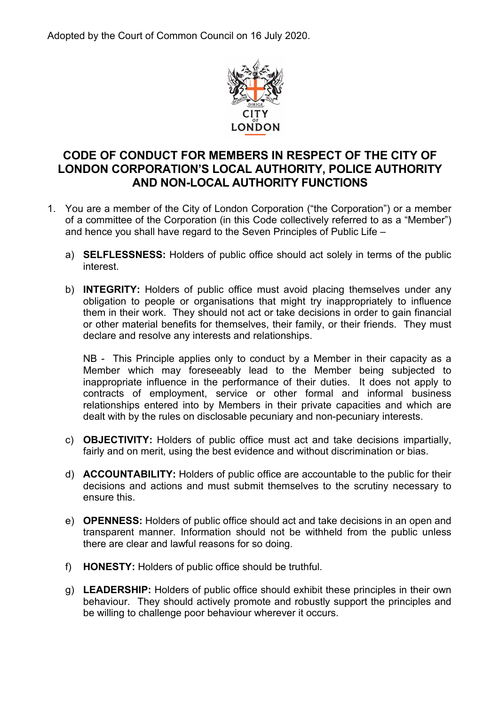Adopted by the Court of Common Council on 16 July 2020.



# **CODE OF CONDUCT FOR MEMBERS IN RESPECT OF THE CITY OF LONDON CORPORATION'S LOCAL AUTHORITY, POLICE AUTHORITY AND NON-LOCAL AUTHORITY FUNCTIONS**

- 1. You are a member of the City of London Corporation ("the Corporation") or a member of a committee of the Corporation (in this Code collectively referred to as a "Member") and hence you shall have regard to the Seven Principles of Public Life –
	- a) **SELFLESSNESS:** Holders of public office should act solely in terms of the public interest.
	- b) **INTEGRITY:** Holders of public office must avoid placing themselves under any obligation to people or organisations that might try inappropriately to influence them in their work. They should not act or take decisions in order to gain financial or other material benefits for themselves, their family, or their friends. They must declare and resolve any interests and relationships.

NB - This Principle applies only to conduct by a Member in their capacity as a Member which may foreseeably lead to the Member being subjected to inappropriate influence in the performance of their duties. It does not apply to contracts of employment, service or other formal and informal business relationships entered into by Members in their private capacities and which are dealt with by the rules on disclosable pecuniary and non-pecuniary interests.

- c) **OBJECTIVITY:** Holders of public office must act and take decisions impartially, fairly and on merit, using the best evidence and without discrimination or bias.
- d) **ACCOUNTABILITY:** Holders of public office are accountable to the public for their decisions and actions and must submit themselves to the scrutiny necessary to ensure this.
- e) **OPENNESS:** Holders of public office should act and take decisions in an open and transparent manner. Information should not be withheld from the public unless there are clear and lawful reasons for so doing.
- f) **HONESTY:** Holders of public office should be truthful.
- g) **LEADERSHIP:** Holders of public office should exhibit these principles in their own behaviour. They should actively promote and robustly support the principles and be willing to challenge poor behaviour wherever it occurs.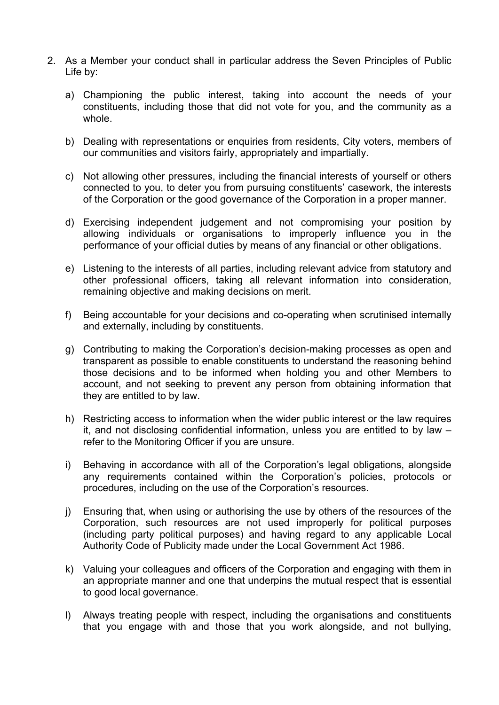- 2. As a Member your conduct shall in particular address the Seven Principles of Public Life by:
	- a) Championing the public interest, taking into account the needs of your constituents, including those that did not vote for you, and the community as a whole.
	- b) Dealing with representations or enquiries from residents, City voters, members of our communities and visitors fairly, appropriately and impartially.
	- c) Not allowing other pressures, including the financial interests of yourself or others connected to you, to deter you from pursuing constituents' casework, the interests of the Corporation or the good governance of the Corporation in a proper manner.
	- d) Exercising independent judgement and not compromising your position by allowing individuals or organisations to improperly influence you in the performance of your official duties by means of any financial or other obligations.
	- e) Listening to the interests of all parties, including relevant advice from statutory and other professional officers, taking all relevant information into consideration, remaining objective and making decisions on merit.
	- f) Being accountable for your decisions and co-operating when scrutinised internally and externally, including by constituents.
	- g) Contributing to making the Corporation's decision-making processes as open and transparent as possible to enable constituents to understand the reasoning behind those decisions and to be informed when holding you and other Members to account, and not seeking to prevent any person from obtaining information that they are entitled to by law.
	- h) Restricting access to information when the wider public interest or the law requires it, and not disclosing confidential information, unless you are entitled to by law – refer to the Monitoring Officer if you are unsure.
	- i) Behaving in accordance with all of the Corporation's legal obligations, alongside any requirements contained within the Corporation's policies, protocols or procedures, including on the use of the Corporation's resources.
	- j) Ensuring that, when using or authorising the use by others of the resources of the Corporation, such resources are not used improperly for political purposes (including party political purposes) and having regard to any applicable Local Authority Code of Publicity made under the Local Government Act 1986.
	- k) Valuing your colleagues and officers of the Corporation and engaging with them in an appropriate manner and one that underpins the mutual respect that is essential to good local governance.
	- l) Always treating people with respect, including the organisations and constituents that you engage with and those that you work alongside, and not bullying,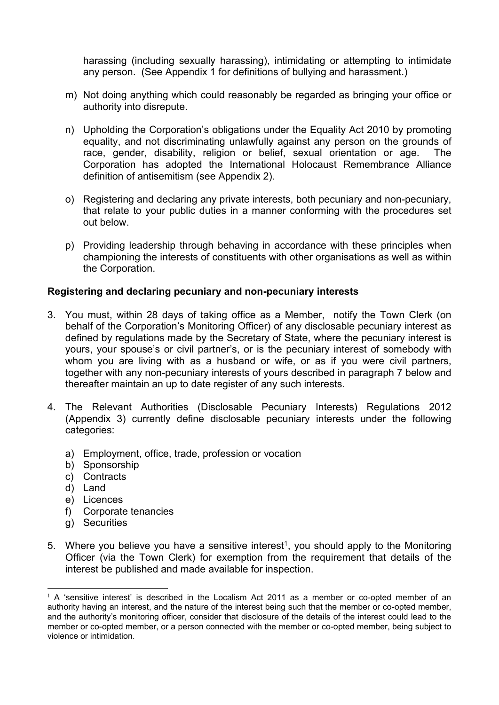harassing (including sexually harassing), intimidating or attempting to intimidate any person. (See Appendix 1 for definitions of bullying and harassment.)

- m) Not doing anything which could reasonably be regarded as bringing your office or authority into disrepute.
- n) Upholding the Corporation's obligations under the Equality Act 2010 by promoting equality, and not discriminating unlawfully against any person on the grounds of race, gender, disability, religion or belief, sexual orientation or age. The Corporation has adopted the International Holocaust Remembrance Alliance definition of antisemitism (see Appendix 2).
- o) Registering and declaring any private interests, both pecuniary and non-pecuniary, that relate to your public duties in a manner conforming with the procedures set out below.
- p) Providing leadership through behaving in accordance with these principles when championing the interests of constituents with other organisations as well as within the Corporation.

## **Registering and declaring pecuniary and non-pecuniary interests**

- 3. You must, within 28 days of taking office as a Member, notify the Town Clerk (on behalf of the Corporation's Monitoring Officer) of any disclosable pecuniary interest as defined by regulations made by the Secretary of State, where the pecuniary interest is yours, your spouse's or civil partner's, or is the pecuniary interest of somebody with whom you are living with as a husband or wife, or as if you were civil partners, together with any non-pecuniary interests of yours described in paragraph 7 below and thereafter maintain an up to date register of any such interests.
- 4. The Relevant Authorities (Disclosable Pecuniary Interests) Regulations 2012 (Appendix 3) currently define disclosable pecuniary interests under the following categories:
	- a) Employment, office, trade, profession or vocation
	- b) Sponsorship
	- c) Contracts
	- d) Land
	- e) Licences
	- f) Corporate tenancies
	- g) Securities
- 5. Where you believe you have a sensitive interest<sup>1</sup>, you should apply to the Monitoring Officer (via the Town Clerk) for exemption from the requirement that details of the interest be published and made available for inspection.

 $<sup>1</sup>$  A 'sensitive interest' is described in the Localism Act 2011 as a member or co-opted member of an</sup> authority having an interest, and the nature of the interest being such that the member or co-opted member, and the authority's monitoring officer, consider that disclosure of the details of the interest could lead to the member or co-opted member, or a person connected with the member or co-opted member, being subject to violence or intimidation.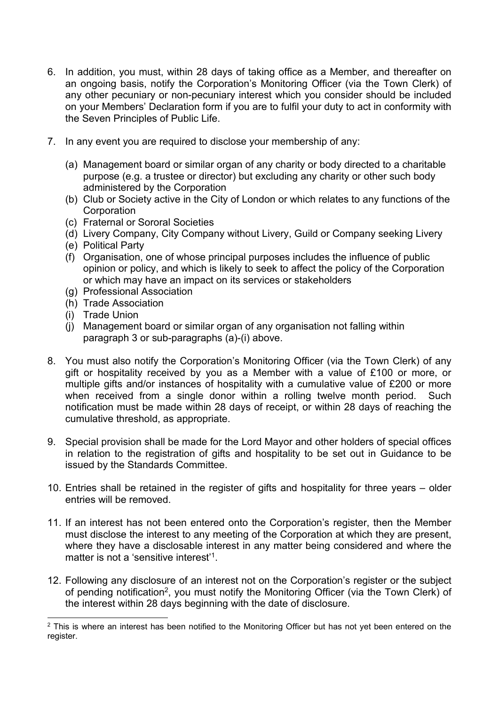- 6. In addition, you must, within 28 days of taking office as a Member, and thereafter on an ongoing basis, notify the Corporation's Monitoring Officer (via the Town Clerk) of any other pecuniary or non-pecuniary interest which you consider should be included on your Members' Declaration form if you are to fulfil your duty to act in conformity with the Seven Principles of Public Life.
- 7. In any event you are required to disclose your membership of any:
	- (a) Management board or similar organ of any charity or body directed to a charitable purpose (e.g. a trustee or director) but excluding any charity or other such body administered by the Corporation
	- (b) Club or Society active in the City of London or which relates to any functions of the **Corporation**
	- (c) Fraternal or Sororal Societies
	- (d) Livery Company, City Company without Livery, Guild or Company seeking Livery
	- (e) Political Party
	- (f) Organisation, one of whose principal purposes includes the influence of public opinion or policy, and which is likely to seek to affect the policy of the Corporation or which may have an impact on its services or stakeholders
	- (g) Professional Association
	- (h) Trade Association
	- (i) Trade Union
	- (j) Management board or similar organ of any organisation not falling within paragraph 3 or sub-paragraphs (a)-(i) above.
- 8. You must also notify the Corporation's Monitoring Officer (via the Town Clerk) of any gift or hospitality received by you as a Member with a value of £100 or more, or multiple gifts and/or instances of hospitality with a cumulative value of £200 or more when received from a single donor within a rolling twelve month period. Such notification must be made within 28 days of receipt, or within 28 days of reaching the cumulative threshold, as appropriate.
- 9. Special provision shall be made for the Lord Mayor and other holders of special offices in relation to the registration of gifts and hospitality to be set out in Guidance to be issued by the Standards Committee.
- 10. Entries shall be retained in the register of gifts and hospitality for three years older entries will be removed.
- 11. If an interest has not been entered onto the Corporation's register, then the Member must disclose the interest to any meeting of the Corporation at which they are present, where they have a disclosable interest in any matter being considered and where the matter is not a 'sensitive interest'<sup>1</sup>
- 12. Following any disclosure of an interest not on the Corporation's register or the subject of pending notification2, you must notify the Monitoring Officer (via the Town Clerk) of the interest within 28 days beginning with the date of disclosure.

<sup>&</sup>lt;sup>2</sup> This is where an interest has been notified to the Monitoring Officer but has not yet been entered on the register.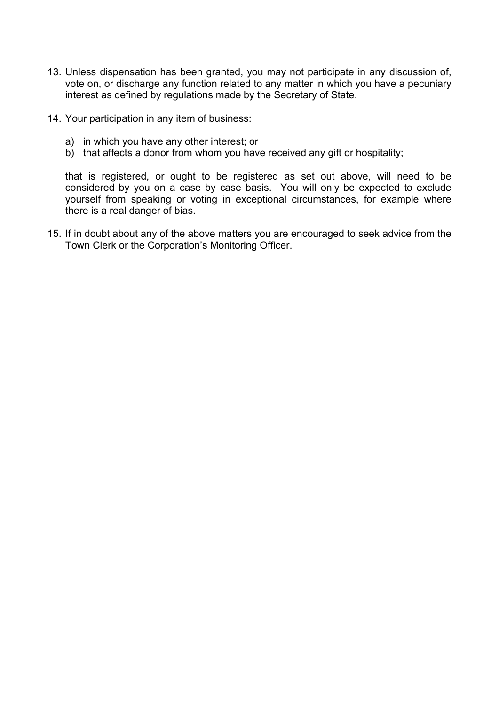- 13. Unless dispensation has been granted, you may not participate in any discussion of, vote on, or discharge any function related to any matter in which you have a pecuniary interest as defined by regulations made by the Secretary of State.
- 14. Your participation in any item of business:
	- a) in which you have any other interest; or
	- b) that affects a donor from whom you have received any gift or hospitality;

that is registered, or ought to be registered as set out above, will need to be considered by you on a case by case basis. You will only be expected to exclude yourself from speaking or voting in exceptional circumstances, for example where there is a real danger of bias.

15. If in doubt about any of the above matters you are encouraged to seek advice from the Town Clerk or the Corporation's Monitoring Officer.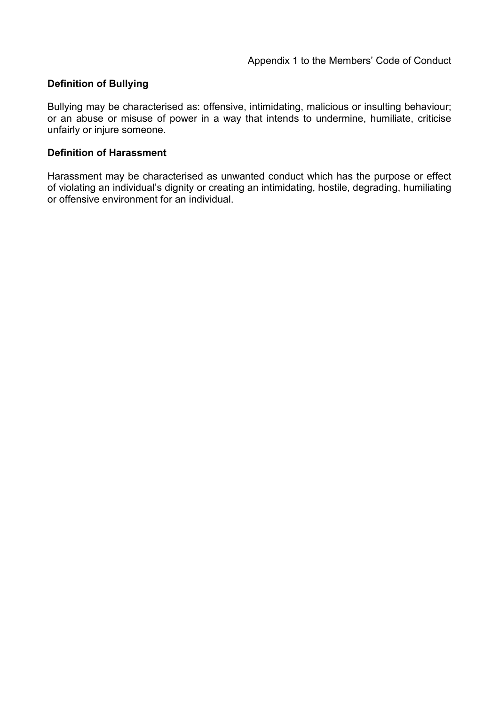## **Definition of Bullying**

Bullying may be characterised as: offensive, intimidating, malicious or insulting behaviour; or an abuse or misuse of power in a way that intends to undermine, humiliate, criticise unfairly or injure someone.

## **Definition of Harassment**

Harassment may be characterised as unwanted conduct which has the purpose or effect of violating an individual's dignity or creating an intimidating, hostile, degrading, humiliating or offensive environment for an individual.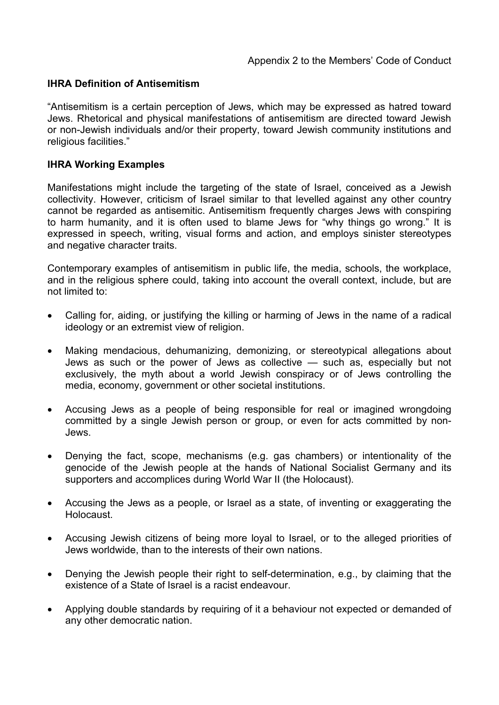## **IHRA Definition of Antisemitism**

"Antisemitism is a certain perception of Jews, which may be expressed as hatred toward Jews. Rhetorical and physical manifestations of antisemitism are directed toward Jewish or non-Jewish individuals and/or their property, toward Jewish community institutions and religious facilities."

## **IHRA Working Examples**

Manifestations might include the targeting of the state of Israel, conceived as a Jewish collectivity. However, criticism of Israel similar to that levelled against any other country cannot be regarded as antisemitic. Antisemitism frequently charges Jews with conspiring to harm humanity, and it is often used to blame Jews for "why things go wrong." It is expressed in speech, writing, visual forms and action, and employs sinister stereotypes and negative character traits.

Contemporary examples of antisemitism in public life, the media, schools, the workplace, and in the religious sphere could, taking into account the overall context, include, but are not limited to:

- Calling for, aiding, or justifying the killing or harming of Jews in the name of a radical ideology or an extremist view of religion.
- Making mendacious, dehumanizing, demonizing, or stereotypical allegations about Jews as such or the power of Jews as collective — such as, especially but not exclusively, the myth about a world Jewish conspiracy or of Jews controlling the media, economy, government or other societal institutions.
- Accusing Jews as a people of being responsible for real or imagined wrongdoing committed by a single Jewish person or group, or even for acts committed by non-Jews.
- Denying the fact, scope, mechanisms (e.g. gas chambers) or intentionality of the genocide of the Jewish people at the hands of National Socialist Germany and its supporters and accomplices during World War II (the Holocaust).
- Accusing the Jews as a people, or Israel as a state, of inventing or exaggerating the Holocaust.
- Accusing Jewish citizens of being more loyal to Israel, or to the alleged priorities of Jews worldwide, than to the interests of their own nations.
- Denying the Jewish people their right to self-determination, e.g., by claiming that the existence of a State of Israel is a racist endeavour.
- Applying double standards by requiring of it a behaviour not expected or demanded of any other democratic nation.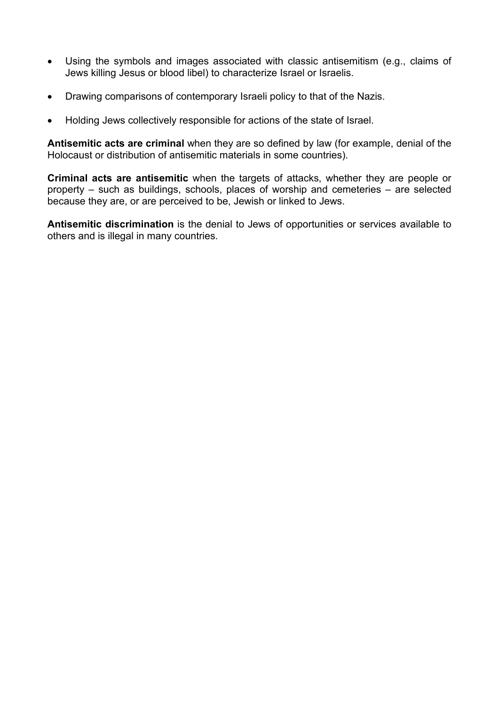- Using the symbols and images associated with classic antisemitism (e.g., claims of Jews killing Jesus or blood libel) to characterize Israel or Israelis.
- Drawing comparisons of contemporary Israeli policy to that of the Nazis.
- Holding Jews collectively responsible for actions of the state of Israel.

**Antisemitic acts are criminal** when they are so defined by law (for example, denial of the Holocaust or distribution of antisemitic materials in some countries).

**Criminal acts are antisemitic** when the targets of attacks, whether they are people or property – such as buildings, schools, places of worship and cemeteries – are selected because they are, or are perceived to be, Jewish or linked to Jews.

**Antisemitic discrimination** is the denial to Jews of opportunities or services available to others and is illegal in many countries.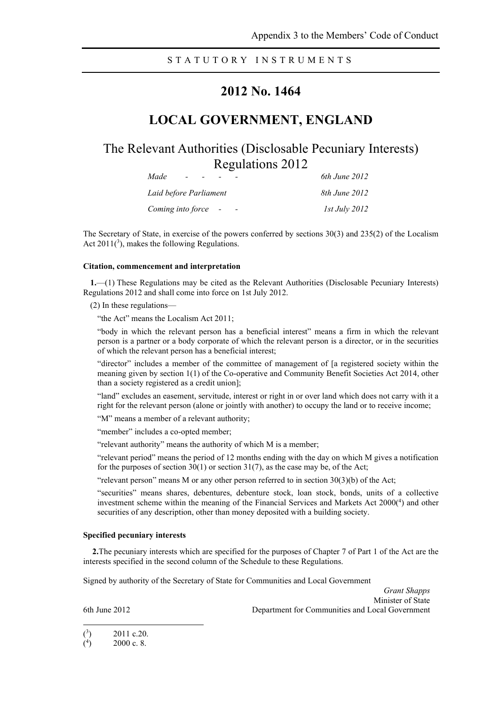### STATUTORY INSTRUMENTS

## **2012 No. 1464**

## **LOCAL GOVERNMENT, ENGLAND**

The Relevant Authorities (Disclosable Pecuniary Interests) Regulations 2012

| Made<br>$\sim$         | 6th June 2012        |
|------------------------|----------------------|
| Laid before Parliament | 8th June 2012        |
| Coming into force -    | <i>Ist July 2012</i> |

The Secretary of State, in exercise of the powers conferred by sections 30(3) and 235(2) of the Localism Act  $2011(^3)$ , makes the following Regulations.

#### **Citation, commencement and interpretation**

**1.**—(1) These Regulations may be cited as the Relevant Authorities (Disclosable Pecuniary Interests) Regulations 2012 and shall come into force on 1st July 2012.

(2) In these regulations—

"the Act" means the Localism Act 2011;

"body in which the relevant person has a beneficial interest" means a firm in which the relevant person is a partner or a body corporate of which the relevant person is a director, or in the securities of which the relevant person has a beneficial interest;

"director" includes a member of the committee of management of [a registered society within the meaning given by section 1(1) of the Co-operative and Community Benefit Societies Act 2014, other than a society registered as a credit union];

"land" excludes an easement, servitude, interest or right in or over land which does not carry with it a right for the relevant person (alone or jointly with another) to occupy the land or to receive income;

"M" means a member of a relevant authority;

"member" includes a co-opted member;

"relevant authority" means the authority of which M is a member;

"relevant period" means the period of 12 months ending with the day on which M gives a notification for the purposes of section  $30(1)$  or section  $31(7)$ , as the case may be, of the Act;

"relevant person" means M or any other person referred to in section  $30(3)(b)$  of the Act;

"securities" means shares, debentures, debenture stock, loan stock, bonds, units of a collective investment scheme within the meaning of the Financial Services and Markets Act 2000(4) and other securities of any description, other than money deposited with a building society.

#### **Specified pecuniary interests**

**2.**The pecuniary interests which are specified for the purposes of Chapter 7 of Part 1 of the Act are the interests specified in the second column of the Schedule to these Regulations.

Signed by authority of the Secretary of State for Communities and Local Government

*Grant Shapps* Minister of State 6th June 2012 Department for Communities and Local Government

 $\binom{3}{ }$ ) 2011 c.20.

 $($ <sup>4</sup> ) 2000 c. 8.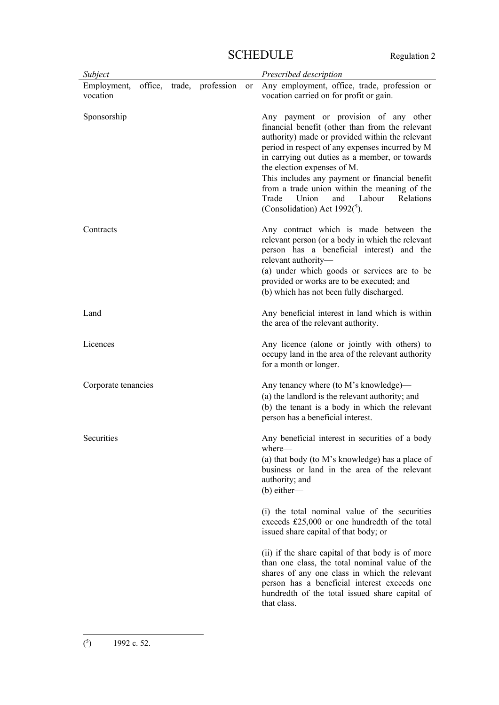| Subject                 |  |                           |           | Prescribed description                                                                                                                                                                                                                                                                                                                                                                                                                                                |
|-------------------------|--|---------------------------|-----------|-----------------------------------------------------------------------------------------------------------------------------------------------------------------------------------------------------------------------------------------------------------------------------------------------------------------------------------------------------------------------------------------------------------------------------------------------------------------------|
| Employment,<br>vocation |  | office, trade, profession | <b>or</b> | Any employment, office, trade, profession or<br>vocation carried on for profit or gain.                                                                                                                                                                                                                                                                                                                                                                               |
| Sponsorship             |  |                           |           | Any payment or provision of any other<br>financial benefit (other than from the relevant<br>authority) made or provided within the relevant<br>period in respect of any expenses incurred by M<br>in carrying out duties as a member, or towards<br>the election expenses of M.<br>This includes any payment or financial benefit<br>from a trade union within the meaning of the<br>Labour<br>Trade<br>Union<br>Relations<br>and<br>(Consolidation) Act $1992(^5)$ . |
| Contracts               |  |                           |           | Any contract which is made between the<br>relevant person (or a body in which the relevant<br>person has a beneficial interest) and the<br>relevant authority-<br>(a) under which goods or services are to be<br>provided or works are to be executed; and<br>(b) which has not been fully discharged.                                                                                                                                                                |
| Land                    |  |                           |           | Any beneficial interest in land which is within<br>the area of the relevant authority.                                                                                                                                                                                                                                                                                                                                                                                |
| Licences                |  |                           |           | Any licence (alone or jointly with others) to<br>occupy land in the area of the relevant authority<br>for a month or longer.                                                                                                                                                                                                                                                                                                                                          |
| Corporate tenancies     |  |                           |           | Any tenancy where (to M's knowledge)—<br>(a) the landlord is the relevant authority; and<br>(b) the tenant is a body in which the relevant<br>person has a beneficial interest.                                                                                                                                                                                                                                                                                       |
| Securities              |  |                           |           | Any beneficial interest in securities of a body<br>where-<br>(a) that body (to M's knowledge) has a place of<br>business or land in the area of the relevant<br>authority; and<br>$(b)$ either—                                                                                                                                                                                                                                                                       |
|                         |  |                           |           | (i) the total nominal value of the securities<br>exceeds £25,000 or one hundredth of the total<br>issued share capital of that body; or                                                                                                                                                                                                                                                                                                                               |
|                         |  |                           |           | (ii) if the share capital of that body is of more<br>than one class, the total nominal value of the<br>shares of any one class in which the relevant<br>person has a beneficial interest exceeds one<br>hundredth of the total issued share capital of<br>that class.                                                                                                                                                                                                 |